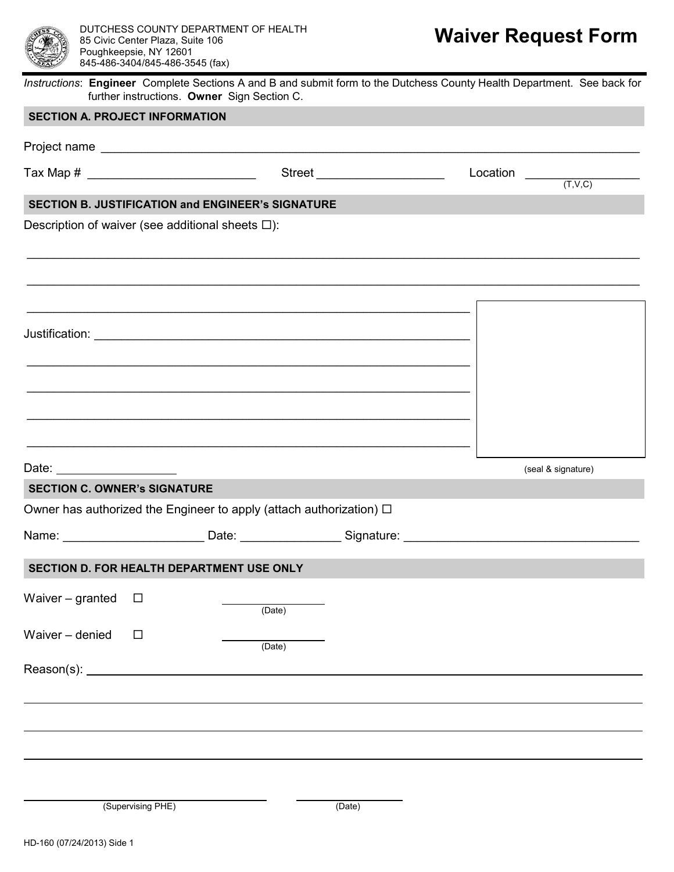

*Instructions*: **Engineer** Complete Sections A and B and submit form to the Dutchess County Health Department. See back for further instructions. **Owner** Sign Section C.

\_\_\_\_\_\_\_\_\_\_\_\_\_\_\_\_\_\_\_\_\_\_\_\_\_\_\_\_\_\_\_\_\_\_\_\_\_\_\_\_\_\_\_\_\_\_\_\_\_\_\_\_\_\_\_\_\_\_\_\_\_\_\_\_\_\_\_\_\_\_\_\_\_\_\_\_\_\_\_\_\_\_\_\_\_\_\_\_\_\_\_

\_\_\_\_\_\_\_\_\_\_\_\_\_\_\_\_\_\_\_\_\_\_\_\_\_\_\_\_\_\_\_\_\_\_\_\_\_\_\_\_\_\_\_\_\_\_\_\_\_\_\_\_\_\_\_\_\_\_\_\_\_\_\_\_\_\_\_\_\_\_\_\_\_\_\_\_\_\_\_\_\_\_\_\_\_\_\_\_\_\_\_

 $\mathcal{L}_\mathcal{L} = \left\{ \mathcal{L}_\mathcal{L} = \mathcal{L}_\mathcal{L} = \mathcal{L}_\mathcal{L} = \mathcal{L}_\mathcal{L} = \mathcal{L}_\mathcal{L} = \mathcal{L}_\mathcal{L} = \mathcal{L}_\mathcal{L} = \mathcal{L}_\mathcal{L} = \mathcal{L}_\mathcal{L} = \mathcal{L}_\mathcal{L} = \mathcal{L}_\mathcal{L} = \mathcal{L}_\mathcal{L} = \mathcal{L}_\mathcal{L} = \mathcal{L}_\mathcal{L} = \mathcal{L}_\mathcal{L} = \mathcal{L}_\math$ 

 $\mathcal{L}_\mathcal{L} = \left\{ \mathcal{L}_\mathcal{L} = \mathcal{L}_\mathcal{L} = \mathcal{L}_\mathcal{L} = \mathcal{L}_\mathcal{L} = \mathcal{L}_\mathcal{L} = \mathcal{L}_\mathcal{L} = \mathcal{L}_\mathcal{L} = \mathcal{L}_\mathcal{L} = \mathcal{L}_\mathcal{L} = \mathcal{L}_\mathcal{L} = \mathcal{L}_\mathcal{L} = \mathcal{L}_\mathcal{L} = \mathcal{L}_\mathcal{L} = \mathcal{L}_\mathcal{L} = \mathcal{L}_\mathcal{L} = \mathcal{L}_\math$ 

 $\mathcal{L}_\mathcal{L} = \left\{ \mathcal{L}_\mathcal{L} = \mathcal{L}_\mathcal{L} = \mathcal{L}_\mathcal{L} = \mathcal{L}_\mathcal{L} = \mathcal{L}_\mathcal{L} = \mathcal{L}_\mathcal{L} = \mathcal{L}_\mathcal{L} = \mathcal{L}_\mathcal{L} = \mathcal{L}_\mathcal{L} = \mathcal{L}_\mathcal{L} = \mathcal{L}_\mathcal{L} = \mathcal{L}_\mathcal{L} = \mathcal{L}_\mathcal{L} = \mathcal{L}_\mathcal{L} = \mathcal{L}_\mathcal{L} = \mathcal{L}_\math$ 

 $\mathcal{L}_\mathcal{L} = \left\{ \mathcal{L}_\mathcal{L} = \mathcal{L}_\mathcal{L} = \mathcal{L}_\mathcal{L} = \mathcal{L}_\mathcal{L} = \mathcal{L}_\mathcal{L} = \mathcal{L}_\mathcal{L} = \mathcal{L}_\mathcal{L} = \mathcal{L}_\mathcal{L} = \mathcal{L}_\mathcal{L} = \mathcal{L}_\mathcal{L} = \mathcal{L}_\mathcal{L} = \mathcal{L}_\mathcal{L} = \mathcal{L}_\mathcal{L} = \mathcal{L}_\mathcal{L} = \mathcal{L}_\mathcal{L} = \mathcal{L}_\math$ 

 $\mathcal{L}_\mathcal{L}$  , and the contribution of the contribution of the contribution of the contribution of the contribution of the contribution of the contribution of the contribution of the contribution of the contribution of

#### **SECTION A. PROJECT INFORMATION**

Project name **we are all that the set of the set of the set of the set of the set of the set of the set of the set of the set of the set of the set of the set of the set of the set of the set of the set of the set of the s** 

Tax Map #  $\qquad \qquad$  Street  $\qquad \qquad$  Street  $\qquad \qquad$  Location  $\qquad \qquad$ 

 $(T.V.C)$ 

# **SECTION B. JUSTIFICATION and ENGINEER's SIGNATURE**

Description of waiver (see additional sheets  $\square$ ):

Justification: **with the set of the set of the set of the set of the set of the set of the set of the set of the set of the set of the set of the set of the set of the set of the set of the set of the set of the set of the** 

Date: (seal & signature)

## **SECTION C. OWNER's SIGNATURE**

Owner has authorized the Engineer to apply (attach authorization)  $\Box$ 

| . |  |
|---|--|
|   |  |
|   |  |

## **SECTION D. FOR HEALTH DEPARTMENT USE ONLY**

Waiver – granted  $\square$ 

Waiver – denied  $\square$ 

(Date)

(Date)

Reason(s): \_\_\_

 $\overline{a}$ 

 $\overline{a}$ 

 $\overline{a}$ 

(Supervising PHE) (Date)